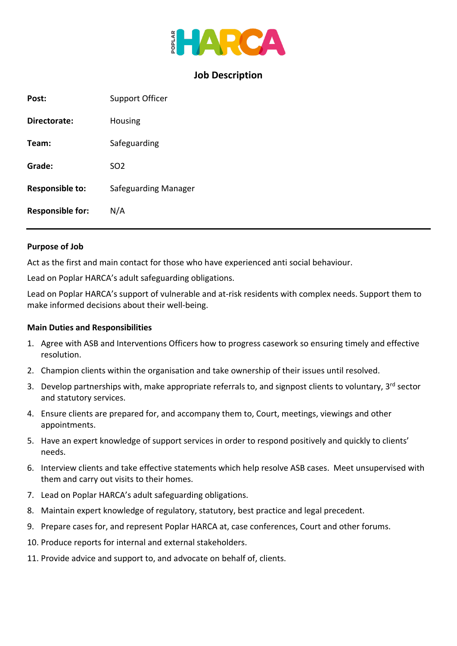

## **Job Description**

| Post:                   | <b>Support Officer</b> |
|-------------------------|------------------------|
| Directorate:            | Housing                |
| Team:                   | Safeguarding           |
| Grade:                  | SO <sub>2</sub>        |
| <b>Responsible to:</b>  | Safeguarding Manager   |
| <b>Responsible for:</b> | N/A                    |

#### **Purpose of Job**

Act as the first and main contact for those who have experienced anti social behaviour.

Lead on Poplar HARCA's adult safeguarding obligations.

Lead on Poplar HARCA's support of vulnerable and at-risk residents with complex needs. Support them to make informed decisions about their well-being.

#### **Main Duties and Responsibilities**

- 1. Agree with ASB and Interventions Officers how to progress casework so ensuring timely and effective resolution.
- 2. Champion clients within the organisation and take ownership of their issues until resolved.
- 3. Develop partnerships with, make appropriate referrals to, and signpost clients to voluntary, 3<sup>rd</sup> sector and statutory services.
- 4. Ensure clients are prepared for, and accompany them to, Court, meetings, viewings and other appointments.
- 5. Have an expert knowledge of support services in order to respond positively and quickly to clients' needs.
- 6. Interview clients and take effective statements which help resolve ASB cases. Meet unsupervised with them and carry out visits to their homes.
- 7. Lead on Poplar HARCA's adult safeguarding obligations.
- 8. Maintain expert knowledge of regulatory, statutory, best practice and legal precedent.
- 9. Prepare cases for, and represent Poplar HARCA at, case conferences, Court and other forums.
- 10. Produce reports for internal and external stakeholders.
- 11. Provide advice and support to, and advocate on behalf of, clients.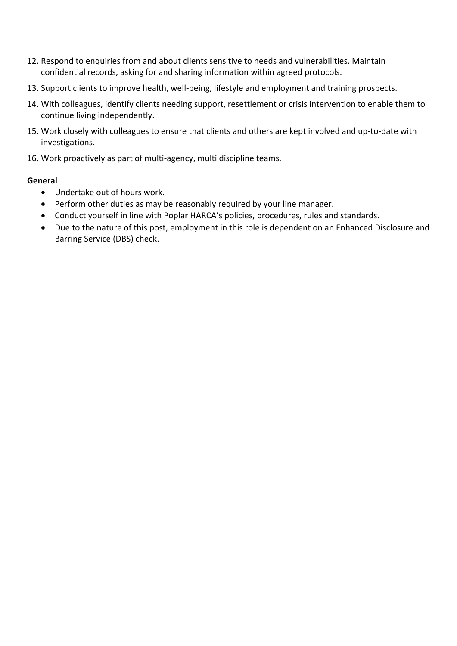- 12. Respond to enquiries from and about clients sensitive to needs and vulnerabilities. Maintain confidential records, asking for and sharing information within agreed protocols.
- 13. Support clients to improve health, well-being, lifestyle and employment and training prospects.
- 14. With colleagues, identify clients needing support, resettlement or crisis intervention to enable them to continue living independently.
- 15. Work closely with colleagues to ensure that clients and others are kept involved and up-to-date with investigations.
- 16. Work proactively as part of multi-agency, multi discipline teams.

### **General**

- Undertake out of hours work.
- Perform other duties as may be reasonably required by your line manager.
- Conduct yourself in line with Poplar HARCA's policies, procedures, rules and standards.
- Due to the nature of this post, employment in this role is dependent on an Enhanced Disclosure and Barring Service (DBS) check.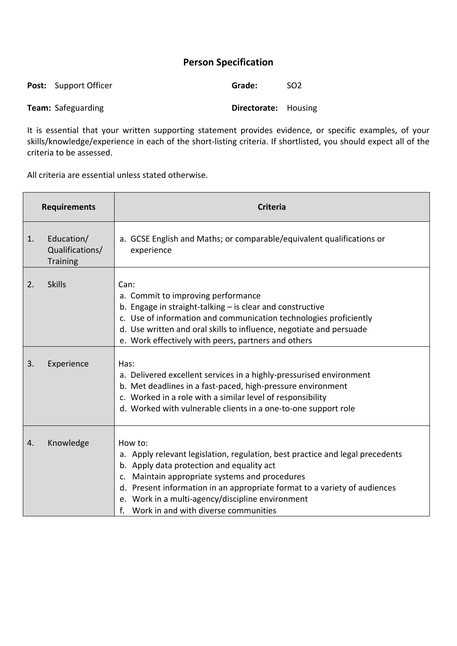# **Person Specification**

| <b>Post:</b> Support Officer | Grade:                      | SO <sub>2</sub> |
|------------------------------|-----------------------------|-----------------|
| <b>Team:</b> Safeguarding    | <b>Directorate:</b> Housing |                 |

It is essential that your written supporting statement provides evidence, or specific examples, of your skills/knowledge/experience in each of the short-listing criteria. If shortlisted, you should expect all of the criteria to be assessed.

All criteria are essential unless stated otherwise.

|    | <b>Requirements</b>                              | <b>Criteria</b>                                                                                                                                                                                                                                                                                                                                                  |
|----|--------------------------------------------------|------------------------------------------------------------------------------------------------------------------------------------------------------------------------------------------------------------------------------------------------------------------------------------------------------------------------------------------------------------------|
| 1. | Education/<br>Qualifications/<br><b>Training</b> | a. GCSE English and Maths; or comparable/equivalent qualifications or<br>experience                                                                                                                                                                                                                                                                              |
| 2. | <b>Skills</b>                                    | Can:<br>a. Commit to improving performance<br>b. Engage in straight-talking - is clear and constructive<br>c. Use of information and communication technologies proficiently<br>d. Use written and oral skills to influence, negotiate and persuade<br>e. Work effectively with peers, partners and others                                                       |
| 3. | Experience                                       | Has:<br>a. Delivered excellent services in a highly-pressurised environment<br>b. Met deadlines in a fast-paced, high-pressure environment<br>c. Worked in a role with a similar level of responsibility<br>d. Worked with vulnerable clients in a one-to-one support role                                                                                       |
| 4. | Knowledge                                        | How to:<br>a. Apply relevant legislation, regulation, best practice and legal precedents<br>b. Apply data protection and equality act<br>c. Maintain appropriate systems and procedures<br>d. Present information in an appropriate format to a variety of audiences<br>e. Work in a multi-agency/discipline environment<br>Work in and with diverse communities |